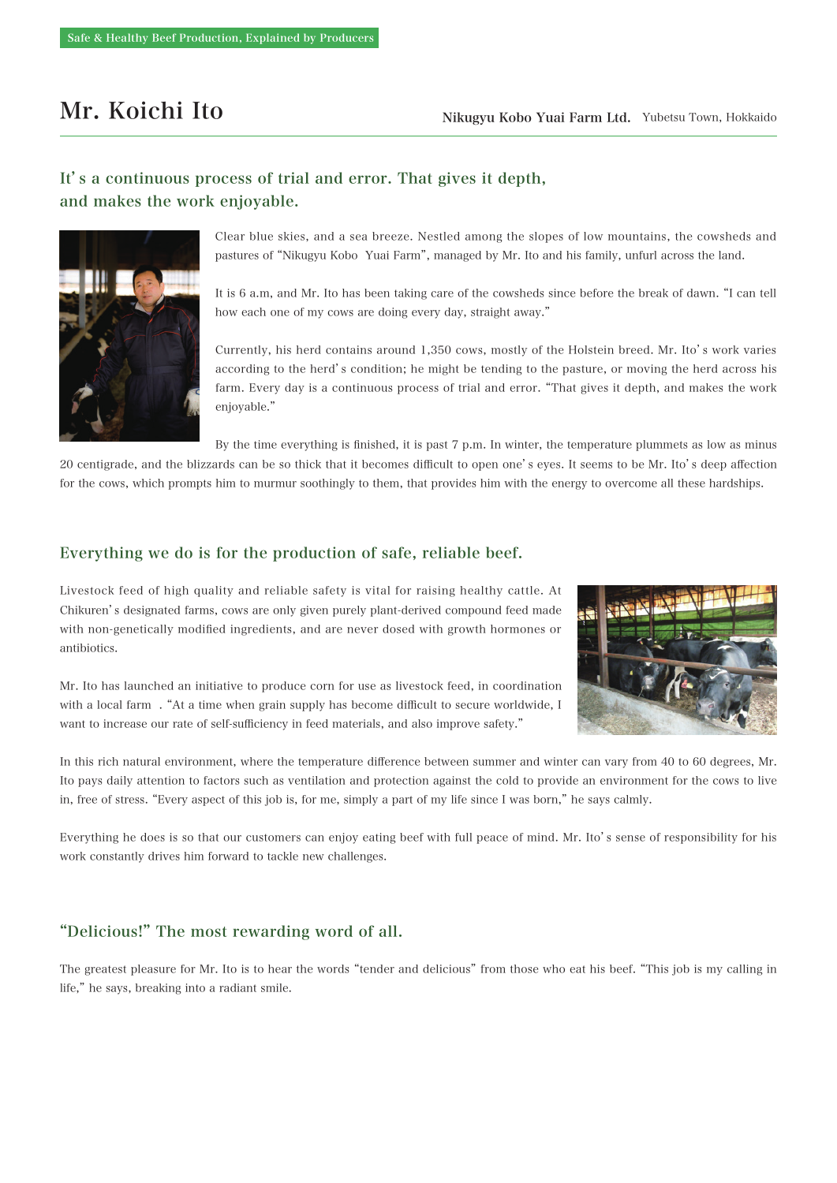## It's a continuous process of trial and error. That gives it depth, and makes the work enjoyable.



Clear blue skies, and a sea breeze. Nestled among the slopes of low mountains, the cowsheds and pastures of "Nikugyu Kobo Yuai Farm", managed by Mr. Ito and his family, unfurl across the land.

It is 6 a.m, and Mr. Ito has been taking care of the cowsheds since before the break of dawn. "I can tell how each one of my cows are doing every day, straight away."

Currently, his herd contains around 1,350 cows, mostly of the Holstein breed. Mr. Ito's work varies according to the herd's condition; he might be tending to the pasture, or moving the herd across his farm. Every day is a continuous process of trial and error. "That gives it depth, and makes the work enjoyable."

By the time everything is finished, it is past 7 p.m. In winter, the temperature plummets as low as minus 20 centigrade, and the blizzards can be so thick that it becomes difficult to open one's eyes. It seems to be Mr. Ito's deep affection for the cows, which prompts him to murmur soothingly to them, that provides him with the energy to overcome all these hardships.

#### Everything we do is for the production of safe, reliable beef.

Livestock feed of high quality and reliable safety is vital for raising healthy cattle. At Chikuren's designated farms, cows are only given purely plant-derived compound feed made with non-genetically modified ingredients, and are never dosed with growth hormones or antibiotics.



Mr. Ito has launched an initiative to produce corn for use as livestock feed, in coordination with a local farm . "At a time when grain supply has become difficult to secure worldwide, I want to increase our rate of self-sufficiency in feed materials, and also improve safety."

In this rich natural environment, where the temperature difference between summer and winter can vary from 40 to 60 degrees, Mr. Ito pays daily attention to factors such as ventilation and protection against the cold to provide an environment for the cows to live in, free of stress. "Every aspect of this job is, for me, simply a part of my life since I was born," he says calmly.

Everything he does is so that our customers can enjoy eating beef with full peace of mind. Mr. Ito's sense of responsibility for his work constantly drives him forward to tackle new challenges.

#### "Delicious!" The most rewarding word of all.

The greatest pleasure for Mr. Ito is to hear the words "tender and delicious" from those who eat his beef. "This job is my calling in life," he says, breaking into a radiant smile.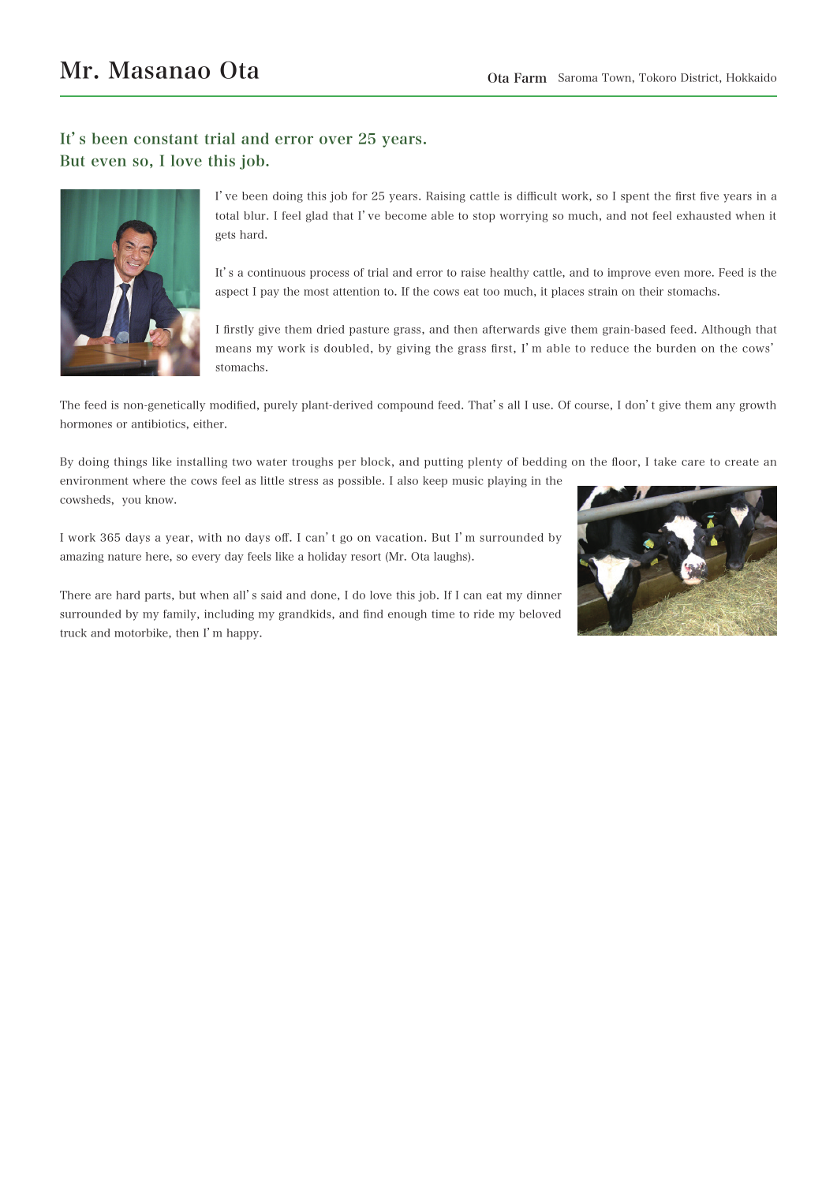## It's been constant trial and error over 25 years. But even so, I love this job.



I've been doing this job for 25 years. Raising cattle is difficult work, so I spent the first five years in a total blur. I feel glad that I've become able to stop worrying so much, and not feel exhausted when it gets hard.

It's a continuous process of trial and error to raise healthy cattle, and to improve even more. Feed is the aspect I pay the most attention to. If the cows eat too much, it places strain on their stomachs.

I firstly give them dried pasture grass, and then afterwards give them grain-based feed. Although that means my work is doubled, by giving the grass first, I'm able to reduce the burden on the cows' stomachs.

The feed is non-genetically modified, purely plant-derived compound feed. That's all I use. Of course, I don't give them any growth hormones or antibiotics, either.

By doing things like installing two water troughs per block, and putting plenty of bedding on the floor, I take care to create an environment where the cows feel as little stress as possible. I also keep music playing in the cowsheds, you know.

I work 365 days a year, with no days off. I can't go on vacation. But I'm surrounded by amazing nature here, so every day feels like a holiday resort (Mr. Ota laughs).

There are hard parts, but when all's said and done, I do love this job. If I can eat my dinner surrounded by my family, including my grandkids, and find enough time to ride my beloved truck and motorbike, then I'm happy.